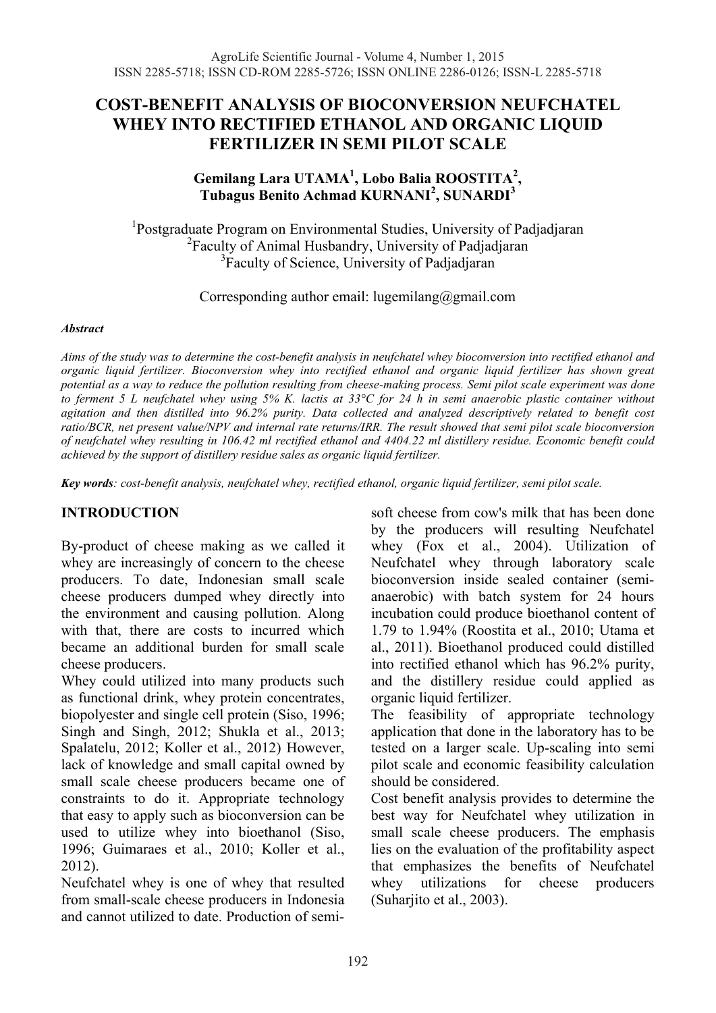# **COST-BENEFIT ANALYSIS OF BIOCONVERSION NEUFCHATEL WHEY INTO RECTIFIED ETHANOL AND ORGANIC LIQUID FERTILIZER IN SEMI PILOT SCALE**

## **Gemilang Lara UTAMA<sup>1</sup> , Lobo Balia ROOSTITA<sup>2</sup> , Tubagus Benito Achmad KURNANI<sup>2</sup> , SUNARDI<sup>3</sup>**

<sup>1</sup>Postgraduate Program on Environmental Studies, University of Padjadjaran <sup>2</sup> Faculty of Animal Husbandry, University of Padjadjaran <sup>3</sup>Faculty of Science, University of Padjadjaran

Corresponding author email: lugemilang@gmail.com

### *Abstract*

*Aims of the study was to determine the cost-benefit analysis in neufchatel whey bioconversion into rectified ethanol and organic liquid fertilizer. Bioconversion whey into rectified ethanol and organic liquid fertilizer has shown great potential as a way to reduce the pollution resulting from cheese-making process. Semi pilot scale experiment was done to ferment 5 L neufchatel whey using 5% K. lactis at 33°C for 24 h in semi anaerobic plastic container without agitation and then distilled into 96.2% purity. Data collected and analyzed descriptively related to benefit cost ratio/BCR, net present value/NPV and internal rate returns/IRR. The result showed that semi pilot scale bioconversion of neufchatel whey resulting in 106.42 ml rectified ethanol and 4404.22 ml distillery residue. Economic benefit could achieved by the support of distillery residue sales as organic liquid fertilizer.* 

*Key words: cost-benefit analysis, neufchatel whey, rectified ethanol, organic liquid fertilizer, semi pilot scale.* 

## **INTRODUCTION**

By-product of cheese making as we called it whey are increasingly of concern to the cheese producers. To date, Indonesian small scale cheese producers dumped whey directly into the environment and causing pollution. Along with that, there are costs to incurred which became an additional burden for small scale cheese producers.

Whey could utilized into many products such as functional drink, whey protein concentrates, biopolyester and single cell protein (Siso, 1996; Singh and Singh, 2012; Shukla et al., 2013; Spalatelu, 2012; Koller et al., 2012) However, lack of knowledge and small capital owned by small scale cheese producers became one of constraints to do it. Appropriate technology that easy to apply such as bioconversion can be used to utilize whey into bioethanol (Siso, 1996; Guimaraes et al., 2010; Koller et al., 2012).

Neufchatel whey is one of whey that resulted from small-scale cheese producers in Indonesia and cannot utilized to date. Production of semi-

soft cheese from cow's milk that has been done by the producers will resulting Neufchatel whey (Fox et al., 2004). Utilization of Neufchatel whey through laboratory scale bioconversion inside sealed container (semianaerobic) with batch system for 24 hours incubation could produce bioethanol content of 1.79 to 1.94% (Roostita et al., 2010; Utama et al., 2011). Bioethanol produced could distilled into rectified ethanol which has 96.2% purity, and the distillery residue could applied as organic liquid fertilizer.

The feasibility of appropriate technology application that done in the laboratory has to be tested on a larger scale. Up-scaling into semi pilot scale and economic feasibility calculation should be considered.

Cost benefit analysis provides to determine the best way for Neufchatel whey utilization in small scale cheese producers. The emphasis lies on the evaluation of the profitability aspect that emphasizes the benefits of Neufchatel whey utilizations for cheese producers (Suharjito et al., 2003).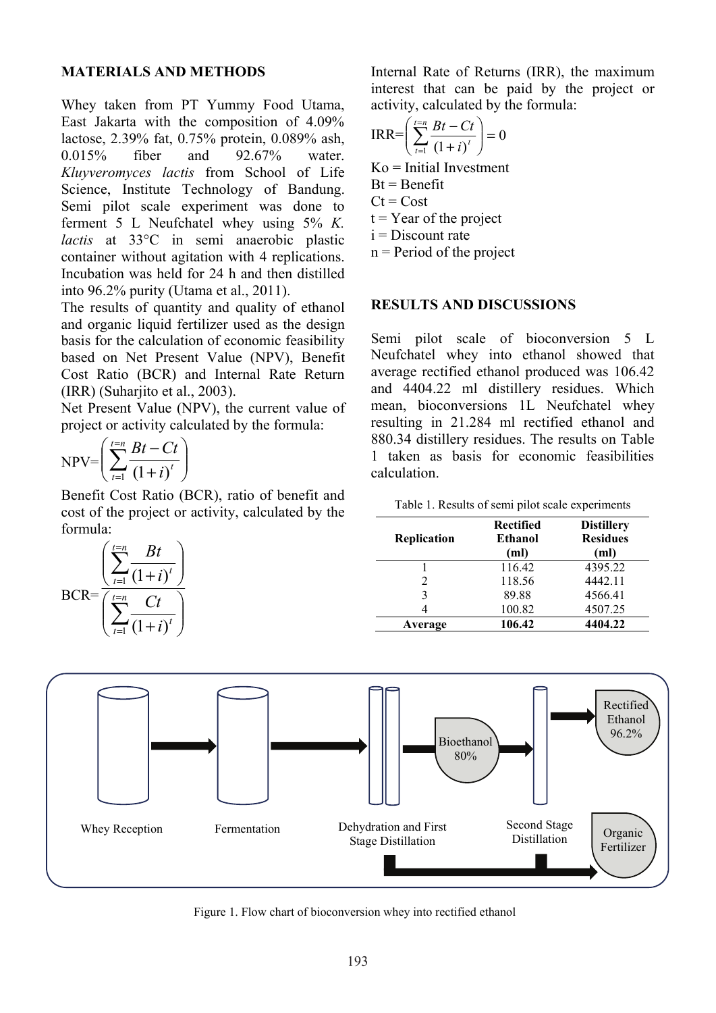### **MATERIALS AND METHODS**

Whey taken from PT Yummy Food Utama, East Jakarta with the composition of 4.09% lactose, 2.39% fat, 0.75% protein, 0.089% ash, 0.015% fiber and 92.67% water. *Kluyveromyces lactis* from School of Life Science, Institute Technology of Bandung. Semi pilot scale experiment was done to ferment 5 L Neufchatel whey using 5% *K. lactis* at 33°C in semi anaerobic plastic container without agitation with 4 replications. Incubation was held for 24 h and then distilled into 96.2% purity (Utama et al., 2011).

The results of quantity and quality of ethanol and organic liquid fertilizer used as the design basis for the calculation of economic feasibility based on Net Present Value (NPV), Benefit Cost Ratio (BCR) and Internal Rate Return (IRR) (Suharjito et al., 2003).

Net Present Value (NPV), the current value of project or activity calculated by the formula:

$$
\text{NPV} = \left( \sum_{t=1}^{t=n} \frac{Bt - Ct}{(1+i)^t} \right)
$$

Benefit Cost Ratio (BCR), ratio of benefit and cost of the project or activity, calculated by the formula:



Internal Rate of Returns (IRR), the maximum interest that can be paid by the project or activity, calculated by the formula:

$$
IRR = \left(\sum_{t=1}^{t=n} \frac{Bt - Ct}{(1+i)^t}\right) = 0
$$

Ko = Initial Investment

 $Bt = \text{Benefit}$ 

 $Ct = Cost$ 

 $t = Year$  of the project

 $i =$ Discount rate

 $n = Period of the project$ 

#### **RESULTS AND DISCUSSIONS**

Semi pilot scale of bioconversion 5 L Neufchatel whey into ethanol showed that average rectified ethanol produced was 106.42 and 4404.22 ml distillery residues. Which mean, bioconversions 1L Neufchatel whey resulting in 21.284 ml rectified ethanol and 880.34 distillery residues. The results on Table 1 taken as basis for economic feasibilities calculation.

| Table 1. Results of semi pilot scale experiments |  |  |
|--------------------------------------------------|--|--|
|--------------------------------------------------|--|--|

| <b>Replication</b> | <b>Rectified</b><br>Ethanol<br>(ml) | <b>Distillery</b><br><b>Residues</b><br>(ml) |  |
|--------------------|-------------------------------------|----------------------------------------------|--|
|                    | 116.42                              | 4395.22                                      |  |
| 2                  | 118.56                              | 4442.11                                      |  |
| 3                  | 89.88                               | 4566.41                                      |  |
|                    | 100.82                              | 4507.25                                      |  |
| Average            | 106.42                              | 4404.22                                      |  |



Figure 1. Flow chart of bioconversion whey into rectified ethanol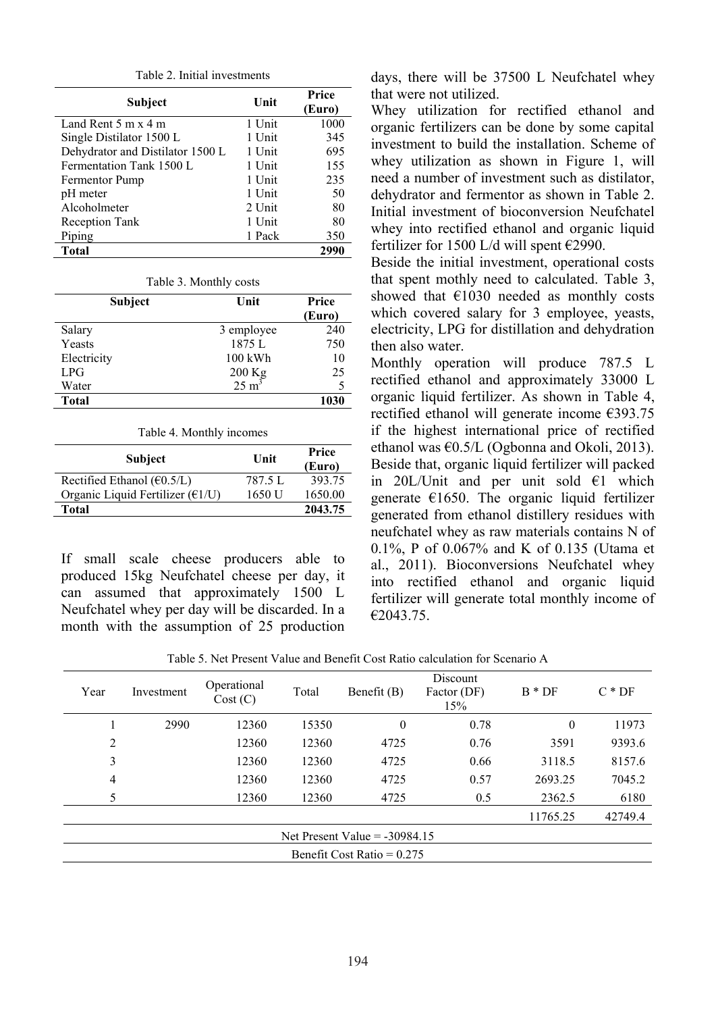Table 2. Initial investments

| Subject                                    | Unit   | Price<br>(Euro) |
|--------------------------------------------|--------|-----------------|
| Land Rent $5 \text{ m} \times 4 \text{ m}$ | 1 Unit | 1000            |
| Single Distilator 1500 L                   | 1 Unit | 345             |
| Dehydrator and Distilator 1500 L           | 1 Unit | 695             |
| Fermentation Tank 1500 L                   | 1 Unit | 155             |
| <b>Fermentor Pump</b>                      | 1 Unit | 235             |
| pH meter                                   | 1 Unit | 50              |
| Alcoholmeter                               | 2 Unit | 80              |
| <b>Reception Tank</b>                      | 1 Unit | 80              |
| Piping                                     | 1 Pack | 350             |
| <b>Total</b>                               |        | 2990            |

| Table 3. Monthly costs |                  |        |  |  |  |  |  |
|------------------------|------------------|--------|--|--|--|--|--|
| <b>Subject</b>         | Unit             | Price  |  |  |  |  |  |
|                        |                  | (Euro) |  |  |  |  |  |
| Salary                 | 3 employee       | 240    |  |  |  |  |  |
| Yeasts                 | 1875 L           | 750    |  |  |  |  |  |
| Electricity            | 100 kWh          | 10     |  |  |  |  |  |
| LPG                    | 200 Kg           | 25     |  |  |  |  |  |
| Water                  | $25 \text{ m}^3$ |        |  |  |  |  |  |
| <b>Total</b>           |                  | 1030   |  |  |  |  |  |

Table 4. Monthly incomes

| <b>Subject</b>                                        | Unit    | Price<br>(Euro) |
|-------------------------------------------------------|---------|-----------------|
| Rectified Ethanol ( $\epsilon$ 0.5/L)                 | 787.5 L | 393 75          |
| Organic Liquid Fertilizer $(\text{\textsterling}1/U)$ | 1650 U  | 1650.00         |
| Total                                                 |         | 2043.75         |

If small scale cheese producers able to produced 15kg Neufchatel cheese per day, it can assumed that approximately 1500 L Neufchatel whey per day will be discarded. In a month with the assumption of 25 production days, there will be 37500 L Neufchatel whey that were not utilized.

Whey utilization for rectified ethanol and organic fertilizers can be done by some capital investment to build the installation. Scheme of whey utilization as shown in Figure 1, will need a number of investment such as distilator, dehydrator and fermentor as shown in Table 2. Initial investment of bioconversion Neufchatel whey into rectified ethanol and organic liquid fertilizer for 1500 L/d will spent  $\epsilon$ 2990.

Beside the initial investment, operational costs that spent mothly need to calculated. Table 3, showed that  $€1030$  needed as monthly costs which covered salary for 3 employee, yeasts, electricity, LPG for distillation and dehydration then also water.

Monthly operation will produce 787.5 L rectified ethanol and approximately 33000 L organic liquid fertilizer. As shown in Table 4, rectified ethanol will generate income €393.75 if the highest international price of rectified ethanol was  $\epsilon 0.5/L$  (Ogbonna and Okoli, 2013). Beside that, organic liquid fertilizer will packed in 20L/Unit and per unit sold  $\epsilon$ 1 which generate  $\epsilon$ 1650. The organic liquid fertilizer generated from ethanol distillery residues with neufchatel whey as raw materials contains N of 0.1%, P of 0.067% and K of 0.135 (Utama et al., 2011). Bioconversions Neufchatel whey into rectified ethanol and organic liquid fertilizer will generate total monthly income of  $€2043.75.$ 

Table 5. Net Present Value and Benefit Cost Ratio calculation for Scenario A

| Year                            | Investment | Operational<br>Cost(C) | Total | Benefit (B)  | Discount<br>Factor (DF)<br>15% | $B * DF$     | $C * DF$ |  |  |
|---------------------------------|------------|------------------------|-------|--------------|--------------------------------|--------------|----------|--|--|
| I                               | 2990       | 12360                  | 15350 | $\mathbf{0}$ | 0.78                           | $\mathbf{0}$ | 11973    |  |  |
| 2                               |            | 12360                  | 12360 | 4725         | 0.76                           | 3591         | 9393.6   |  |  |
| 3                               |            | 12360                  | 12360 | 4725         | 0.66                           | 3118.5       | 8157.6   |  |  |
| $\overline{4}$                  |            | 12360                  | 12360 | 4725         | 0.57                           | 2693.25      | 7045.2   |  |  |
| 5                               | 12360      |                        | 12360 | 4725         | 0.5                            | 2362.5       | 6180     |  |  |
| 11765.25<br>42749.4             |            |                        |       |              |                                |              |          |  |  |
| Net Present Value $=$ -30984.15 |            |                        |       |              |                                |              |          |  |  |
| Benefit Cost Ratio = $0.275$    |            |                        |       |              |                                |              |          |  |  |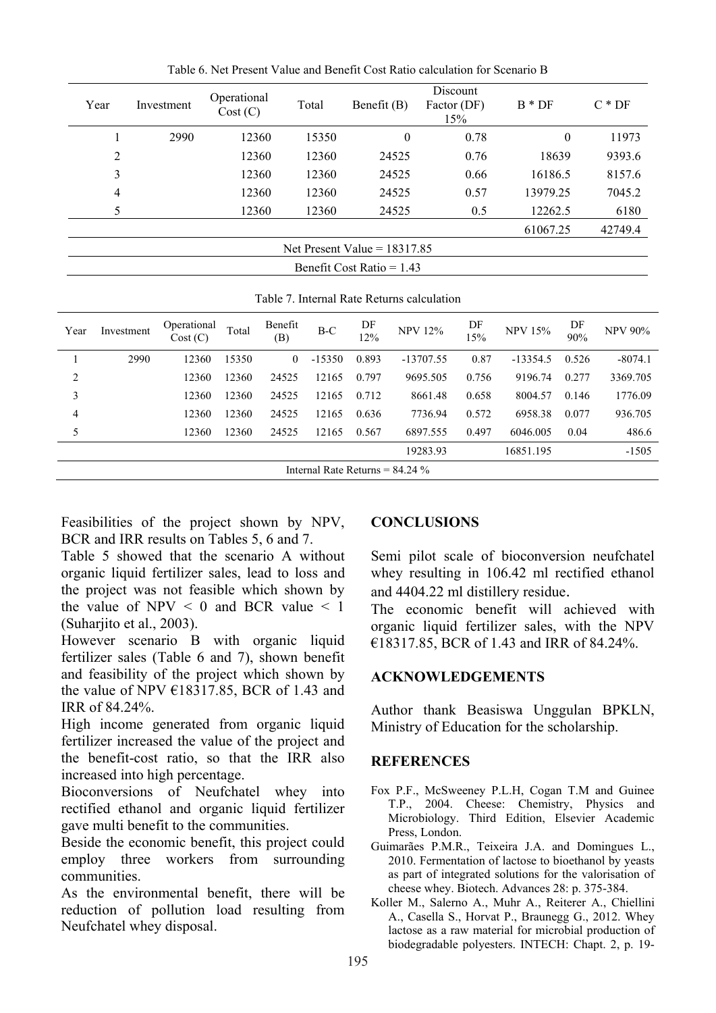| Year                           | Operational<br>Investment<br>Cost (C) |       | Total | Benefit $(B)$               | Discount<br>Factor (DF)<br>15% | $B * DF$ | $C * DF$ |  |
|--------------------------------|---------------------------------------|-------|-------|-----------------------------|--------------------------------|----------|----------|--|
|                                | 2990                                  | 12360 | 15350 | $\mathbf{0}$                | 0.78                           | $\theta$ | 11973    |  |
| 2                              |                                       | 12360 | 12360 | 24525                       | 0.76                           | 18639    | 9393.6   |  |
| 3                              |                                       | 12360 | 12360 | 24525                       | 0.66                           | 16186.5  | 8157.6   |  |
| 4                              |                                       | 12360 | 12360 | 24525                       | 0.57                           | 13979.25 | 7045.2   |  |
| 5                              |                                       |       | 12360 | 24525                       | 0.5                            | 12262.5  | 6180     |  |
| 61067.25                       |                                       |       |       |                             |                                |          |          |  |
| Net Present Value = $18317.85$ |                                       |       |       |                             |                                |          |          |  |
|                                |                                       |       |       | Benefit Cost Ratio = $1.43$ |                                |          |          |  |

Table 6. Net Present Value and Benefit Cost Ratio calculation for Scenario B

Table 7. Internal Rate Returns calculation

| Year                              | Investment | Operational<br>Cost(C) | Total | Benefit<br>(B) | $B-C$    | DF<br>12% | <b>NPV 12%</b> | DF<br>15% | <b>NPV 15%</b> | DF<br>90% | <b>NPV 90%</b> |
|-----------------------------------|------------|------------------------|-------|----------------|----------|-----------|----------------|-----------|----------------|-----------|----------------|
|                                   | 2990       | 12360                  | 15350 | $\theta$       | $-15350$ | 0.893     | -13707.55      | 0.87      | $-13354.5$     | 0.526     | $-8074.1$      |
| $\overline{2}$                    |            | 12360                  | 12360 | 24525          | 12165    | 0.797     | 9695.505       | 0.756     | 9196.74        | 0.277     | 3369.705       |
| 3                                 |            | 12360                  | 12360 | 24525          | 12165    | 0.712     | 8661.48        | 0.658     | 8004.57        | 0.146     | 1776.09        |
| 4                                 |            | 12360                  | 12360 | 24525          | 12165    | 0.636     | 7736.94        | 0.572     | 6958.38        | 0.077     | 936.705        |
| 5                                 |            | 12360                  | 12360 | 24525          | 12165    | 0.567     | 6897.555       | 0.497     | 6046.005       | 0.04      | 486.6          |
|                                   |            |                        |       |                |          |           | 19283.93       |           | 16851.195      |           | $-1505$        |
| Internal Rate Returns = $84.24\%$ |            |                        |       |                |          |           |                |           |                |           |                |

Feasibilities of the project shown by NPV, BCR and IRR results on Tables 5, 6 and 7.

Table 5 showed that the scenario A without organic liquid fertilizer sales, lead to loss and the project was not feasible which shown by the value of  $NPV < 0$  and BCR value  $< 1$ (Suharjito et al., 2003).

However scenario B with organic liquid fertilizer sales (Table 6 and 7), shown benefit and feasibility of the project which shown by the value of NPV  $E18317.85$ , BCR of 1.43 and IRR of 84.24%.

High income generated from organic liquid fertilizer increased the value of the project and the benefit-cost ratio, so that the IRR also increased into high percentage.

Bioconversions of Neufchatel whey into rectified ethanol and organic liquid fertilizer gave multi benefit to the communities.

Beside the economic benefit, this project could employ three workers from surrounding communities.

As the environmental benefit, there will be reduction of pollution load resulting from Neufchatel whey disposal.

# **CONCLUSIONS**

Semi pilot scale of bioconversion neufchatel whey resulting in 106.42 ml rectified ethanol and 4404.22 ml distillery residue.

The economic benefit will achieved with organic liquid fertilizer sales, with the NPV €18317.85, BCR of 1.43 and IRR of 84.24%.

## **ACKNOWLEDGEMENTS**

Author thank Beasiswa Unggulan BPKLN, Ministry of Education for the scholarship.

## **REFERENCES**

- Fox P.F., McSweeney P.L.H, Cogan T.M and Guinee T.P., 2004. Cheese: Chemistry, Physics and Microbiology. Third Edition, Elsevier Academic Press, London.
- Guimarães P.M.R., Teixeira J.A. and Domingues L., 2010. Fermentation of lactose to bioethanol by yeasts as part of integrated solutions for the valorisation of cheese whey. Biotech. Advances 28: p. 375-384.
- Koller M., Salerno A., Muhr A., Reiterer A., Chiellini A., Casella S., Horvat P., Braunegg G., 2012. Whey lactose as a raw material for microbial production of biodegradable polyesters. INTECH: Chapt. 2, p. 19-